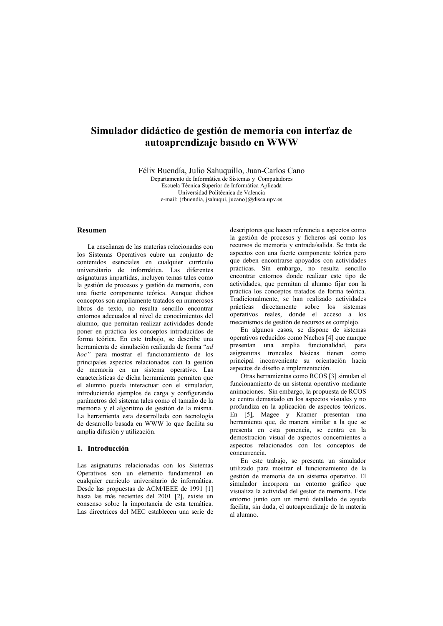# Simulador didáctico de gestión de memoria con interfaz de autoaprendizaje basado en WWW

Félix Buendía, Julio Sahuquillo, Juan-Carlos Cano

Departamento de Informática de Sistemas y Computadores Escuela Técnica Superior de Informática Aplicada Universidad Politécnica de Valencia e-mail: {fbuendia, jsahuqui, jucano}@disca.upv.es

# Resumen

La enseñanza de las materias relacionadas con los Sistemas Operativos cubre un conjunto de contenidos esenciales en cualquier currículo universitario de informática. Las diferentes asignaturas impartidas, incluyen temas tales como la gestión de procesos y gestión de memoria, con una fuerte componente teórica. Aunque dichos conceptos son ampliamente tratados en numerosos libros de texto, no resulta sencillo encontrar entornos adecuados al nivel de conocimientos del alumno, que permitan realizar actividades donde poner en práctica los conceptos introducidos de forma teórica. En este trabajo, se describe una herramienta de simulación realizada de forma "ad hoc" para mostrar el funcionamiento de los principales aspectos relacionados con la gestión de memoria en un sistema operativo. Las características de dicha herramienta permiten que el alumno pueda interactuar con el simulador, introduciendo ejemplos de carga y configurando parámetros del sistema tales como el tamaño de la memoria y el algoritmo de gestión de la misma. La herramienta esta desarrollada con tecnología de desarrollo basada en WWW lo que facilita su amplia difusión y utilización.

#### 1. Introducción

Las asignaturas relacionadas con los Sistemas Operativos son un elemento fundamental en cualquier currículo universitario de informática. Desde las propuestas de ACM/IEEE de 1991 [1] hasta las más recientes del 2001 [2], existe un consenso sobre la importancia de esta temática. Las directrices del MEC establecen una serie de

descriptores que hacen referencia a aspectos como la gestión de procesos y ficheros así como los recursos de memoria y entrada/salida. Se trata de aspectos con una fuerte componente teórica pero que deben encontrarse apovados con actividades prácticas. Sin embargo, no resulta sencillo encontrar entornos donde realizar este tipo de actividades, que permitan al alumno fijar con la práctica los conceptos tratados de forma teórica. Tradicionalmente, se han realizado actividades prácticas directamente sobre los sistemas operativos reales, donde el acceso a los mecanismos de gestión de recursos es complejo.

En algunos casos, se dispone de sistemas operativos reducidos como Nachos [4] que aunque presentan una amplia funcionalidad, para asignaturas troncales básicas tienen como principal inconveniente su orientación hacia aspectos de diseño e implementación.

Otras herramientas como RCOS [3] simulan el funcionamiento de un sistema operativo mediante animaciones. Sin embargo, la propuesta de RCOS se centra demasiado en los aspectos visuales y no profundiza en la aplicación de aspectos teóricos. En [5], Magee y Kramer presentan una herramienta que, de manera similar a la que se presenta en esta ponencia, se centra en la demostración visual de aspectos concernientes a aspectos relacionados con los conceptos de concurrencia

En este trabajo, se presenta un simulador utilizado para mostrar el funcionamiento de la gestión de memoria de un sistema operativo. El simulador incorpora un entorno gráfico que visualiza la actividad del gestor de memoria. Este entorno junto con un menú detallado de avuda facilita, sin duda, el autoaprendizaje de la materia al alumno.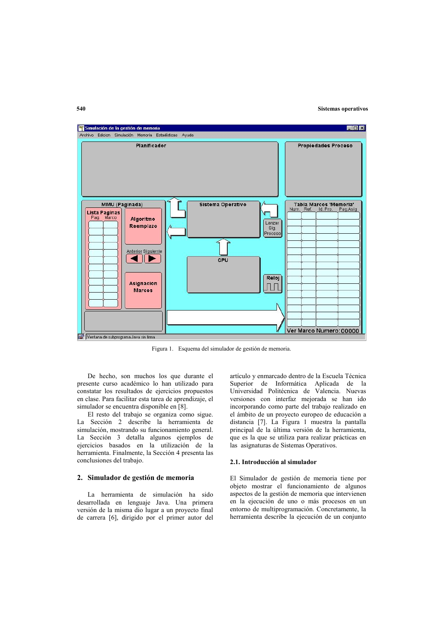### **Sistemas operativos**



Figura 1. Esquema del simulador de gestión de memoria.

De hecho, son muchos los que durante el presente curso académico lo han utilizado para constatar los resultados de ejercicios propuestos en clase. Para facilitar esta tarea de aprendizaje, el simulador se encuentra disponible en [8].

El resto del trabajo se organiza como sigue. La Sección 2 describe la herramienta de simulación, mostrando su funcionamiento general. La Sección 3 detalla algunos ejemplos de ejercicios basados en la utilización de la herramienta. Finalmente, la Sección 4 presenta las conclusiones del trabajo.

### 2. Simulador de gestión de memoria

La herramienta de simulación ha sido desarrollada en lenguaje Java. Una primera versión de la misma dio lugar a un proyecto final de carrera [6], dirigido por el primer autor del

artículo y enmarcado dentro de la Escuela Técnica Superior de Informática Aplicada de la Universidad Politécnica de Valencia. Nuevas versiones con interfaz mejorada se han ido incorporando como parte del trabajo realizado en el ámbito de un proyecto europeo de educación a distancia [7]. La Figura 1 muestra la pantalla principal de la última versión de la herramienta, que es la que se utiliza para realizar prácticas en las asignaturas de Sistemas Operativos.

#### 2.1. Introducción al simulador

El Simulador de gestión de memoria tiene por objeto mostrar el funcionamiento de algunos aspectos de la gestión de memoria que intervienen en la ejecución de uno o más procesos en un entorno de multiprogramación. Concretamente, la herramienta describe la ejecución de un conjunto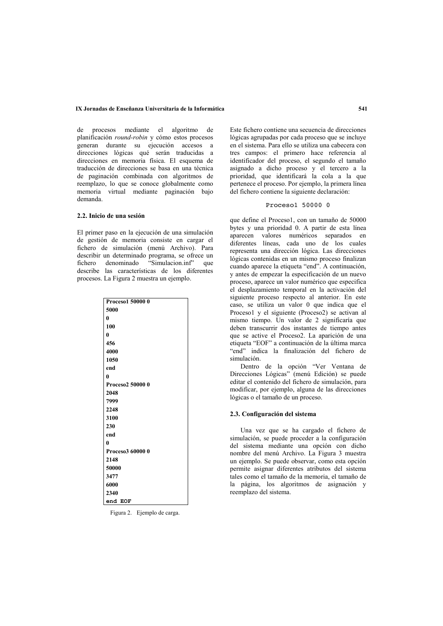#### IX Jornadas de Enseñanza Universitaria de la Informática

de procesos mediante el algoritmo de planificación round-robin y cómo estos procesos generan durante su ejecución accesos a direcciones lógicas qué serán traducidas a direcciones en memoria física. El esquema de traducción de direcciones se basa en una técnica de paginación combinada con algoritmos de reemplazo. lo que se conoce globalmente como memoria virtual mediante paginación bajo demanda

## 2.2. Inicio de una sesión

El primer paso en la ejecución de una simulación de gestión de memoria consiste en cargar el fichero de simulación (menú Archivo). Para describir un determinado programa, se ofrece un fichero denominado "Simulacion.inf" que<br>describe las características de los diferentes procesos. La Figura 2 muestra un ejemplo.

| Proceso1 50000 0 |
|------------------|
| 5000             |
| $\mathbf{0}$     |
| 100              |
| 0                |
| 456              |
| 4000             |
| 1050             |
| end              |
| $\mathbf{0}$     |
| Proceso2 50000 0 |
| 2048             |
| 7999             |
| 2248             |
| 3100             |
| 230              |
| end              |
| $\mathbf{0}$     |
| Proceso3 60000 0 |
| 2148             |
| 50000            |
| 3477             |
| 6000             |
| 2340             |
| end EOF          |

Figura 2. Ejemplo de carga.

Este fichero contiene una secuencia de direcciones lógicas agrupadas por cada proceso que se incluye en el sistema. Para ello se utiliza una cabecera con tres campos: el primero hace referencia al identificador del proceso, el segundo el tamaño asignado a dicho proceso y el tercero a la prioridad, que identificará la cola a la que pertenece el proceso. Por ejemplo, la primera línea del fichero contiene la siguiente declaración:

### Proceso1 50000 0

que define el Proceso1, con un tamaño de 50000 bytes y una prioridad 0. A partir de esta línea aparecen valores numéricos separados en diferentes líneas, cada uno de los cuales representa una dirección lógica. Las direcciones lógicas contenidas en un mismo proceso finalizan cuando aparece la etiqueta "end". A continuación, y antes de empezar la especificación de un nuevo proceso, aparece un valor numérico que especifica el desplazamiento temporal en la activación del siguiente proceso respecto al anterior. En este caso, se utiliza un valor 0 que indica que el Proceso1 y el siguiente (Proceso2) se activan al mismo tiempo. Un valor de 2 significaría que deben transcurrir dos instantes de tiempo antes que se active el Proceso2. La aparición de una etiqueta "EOF" a continuación de la última marca "end" indica la finalización del fichero de simulación.

Dentro de la opción "Ver Ventana de Direcciones Lógicas" (menú Edición) se puede editar el contenido del fichero de simulación, para modificar, por ejemplo, alguna de las direcciones lógicas o el tamaño de un proceso.

#### 2.3. Configuración del sistema

Una vez que se ha cargado el fichero de simulación, se puede proceder a la configuración del sistema mediante una opción con dicho nombre del menú Archivo. La Figura 3 muestra un ejemplo. Se puede observar, como esta opción permite asignar diferentes atributos del sistema tales como el tamaño de la memoria, el tamaño de la página. los algoritmos de asignación y reemplazo del sistema.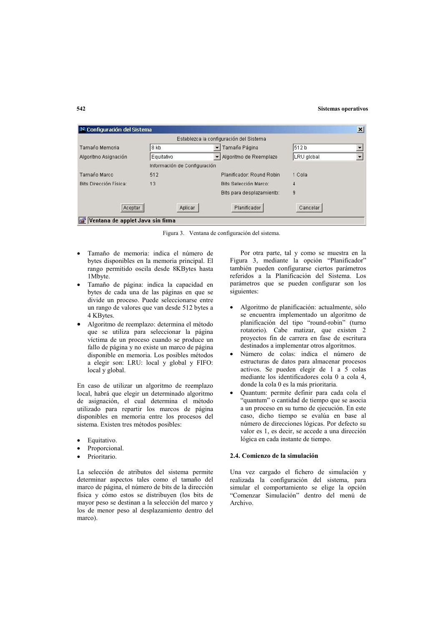#### **Sistemas operativos**

| N Configuración del Sistema      |                              |                                         |            |  |  |
|----------------------------------|------------------------------|-----------------------------------------|------------|--|--|
|                                  |                              | Establezca la configuración del Sistema |            |  |  |
| Tamaño Memoria                   | 8 kb                         | Tamaño Página                           | 512 b      |  |  |
| Algoritmo Asignación             | Equitativo                   | Algoritmo de Reemplazo                  | LRU global |  |  |
|                                  | Información de Configuración |                                         |            |  |  |
| Tamaño Marco                     | 512                          | Planificador: Round Robin               | 1 Cola     |  |  |
| <b>Bits Dirección Física:</b>    | 13                           | <b>Bits Selección Marco:</b>            | 4          |  |  |
|                                  |                              | Bits para desplazamiento:               | 9          |  |  |
| <br>Aceptar                      | Aplicar                      | Planificador                            | Cancelar   |  |  |
| Ventana de applet Java sin firma |                              |                                         |            |  |  |

Figura 3. Ventana de configuración del sistema.

- Tamaño de memoria: indica el número de bytes disponibles en la memoria principal. El rango permitido oscila desde 8KBytes hasta 1Mbyte.
- Tamaño de página: indica la capacidad en bytes de cada una de las páginas en que se divide un proceso. Puede seleccionarse entre un rango de valores que van desde 512 bytes a 4 KBvtes.
- Algoritmo de reemplazo: determina el método que se utiliza para seleccionar la página víctima de un proceso cuando se produce un fallo de página y no existe un marco de página disponible en memoria. Los posibles métodos a elegir son: LRU: local y global y FIFO: local y global.

En caso de utilizar un algoritmo de reemplazo local, habrá que elegir un determinado algoritmo de asignación, el cual determina el método utilizado para repartir los marcos de página disponibles en memoria entre los procesos del sistema. Existen tres métodos posibles:

- Equitativo.
- Proporcional.
- Prioritario.

La selección de atributos del sistema permite determinar aspectos tales como el tamaño del marco de página, el número de bits de la dirección física y cómo estos se distribuyen (los bits de mayor peso se destinan a la selección del marco y los de menor peso al desplazamiento dentro del marco).

Por otra parte, tal y como se muestra en la Figura 3, mediante la opción "Planificador" también pueden configurarse ciertos parámetros referidos a la Planificación del Sistema. Los parámetros que se pueden configurar son los siguientes:

- Algoritmo de planificación: actualmente, sólo se encuentra implementado un algoritmo de planificación del tipo "round-robin" (turno rotatorio). Cabe matizar, que existen 2 proyectos fin de carrera en fase de escritura destinados a implementar otros algoritmos.
- · Número de colas: indica el número de estructuras de datos para almacenar procesos activos. Se pueden elegir de 1 a 5 colas mediante los identificadores cola 0 a cola 4, donde la cola 0 es la más prioritaria.
- Quantum: permite definir para cada cola el "quantum" o cantidad de tiempo que se asocia a un proceso en su turno de ejecución. En este caso, dicho tiempo se evalúa en base al número de direcciones lógicas. Por defecto su valor es 1, es decir, se accede a una dirección lógica en cada instante de tiempo.

#### 2.4. Comienzo de la simulación

Una vez cargado el fichero de simulación y realizada la configuración del sistema, para simular el comportamiento se elige la opción "Comenzar Simulación" dentro del menú de Archivo.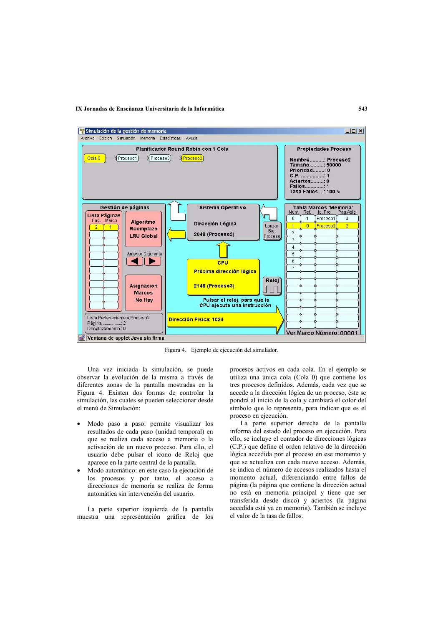#### IX Jornadas de Enseñanza Universitaria de la Informática



Figura 4. Ejemplo de ejecución del simulador.

Una vez iniciada la simulación, se puede observar la evolución de la misma a través de diferentes zonas de la pantalla mostradas en la Figura 4. Existen dos formas de controlar la simulación, las cuales se pueden seleccionar desde el menú de Simulación:

- Modo paso a paso: permite visualizar los resultados de cada paso (unidad temporal) en que se realiza cada acceso a memoria o la activación de un nuevo proceso. Para ello, el usuario debe pulsar el icono de Reloj que aparece en la parte central de la pantalla.
- Modo automático: en este caso la ejecución de los procesos y por tanto, el acceso a direcciones de memoria se realiza de forma automática sin intervención del usuario.

La parte superior izquierda de la pantalla muestra una representación gráfica de los

procesos activos en cada cola. En el ejemplo se utiliza una única cola (Cola 0) que contiene los tres procesos definidos. Además, cada vez que se accede a la dirección lógica de un proceso, éste se pondrá al inicio de la cola y cambiará el color del símbolo que lo representa, para indicar que es el proceso en ejecución.

La parte superior derecha de la pantalla informa del estado del proceso en ejecución. Para ello, se incluve el contador de direcciones lógicas (C.P.) que define el orden relativo de la dirección lógica accedida por el proceso en ese momento y que se actualiza con cada nuevo acceso. Además, se indica el número de accesos realizados hasta el momento actual, diferenciando entre fallos de página (la página que contiene la dirección actual no está en memoria principal y tiene que ser transferida desde disco) y aciertos (la página accedida está va en memoria). También se incluye el valor de la tasa de fallos.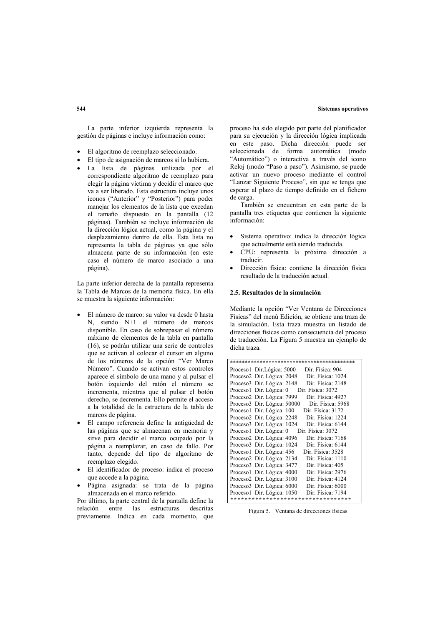#### **Sistemas operativos**

La parte inferior izquierda representa la gestión de páginas e incluye información como:

- El algoritmo de reemplazo seleccionado.
- El tipo de asignación de marcos si lo hubiera.
- La lista de páginas utilizada por el correspondiente algoritmo de reemplazo para elegir la página víctima y decidir el marco que va a ser liberado. Esta estructura incluye unos iconos ("Anterior" y "Posterior") para poder manejar los elementos de la lista que excedan el tamaño dispuesto en la pantalla (12 páginas). También se incluye información de la dirección lógica actual, como la página y el desplazamiento dentro de ella. Esta lista no representa la tabla de páginas ya que sólo almacena parte de su información (en este caso el número de marco asociado a una página).

La parte inferior derecha de la pantalla representa la Tabla de Marcos de la memoria física. En ella se muestra la siguiente información:

- El número de marco: su valor va desde 0 hasta N, siendo N+1 el número de marcos disponible. En caso de sobrepasar el número máximo de elementos de la tabla en pantalla (16), se podrán utilizar una serie de controles que se activan al colocar el cursor en alguno de los números de la opción "Ver Marco Número". Cuando se activan estos controles aparece el símbolo de una mano y al pulsar el botón izquierdo del ratón el número se incrementa, mientras que al pulsar el botón derecho, se decrementa. Ello permite el acceso a la totalidad de la estructura de la tabla de marcos de página.
- El campo referencia define la antigüedad de las páginas que se almacenan en memoria y sirve para decidir el marco ocupado por la página a reemplazar, en caso de fallo. Por tanto, depende del tipo de algoritmo de reemplazo elegido.
- · El identificador de proceso: indica el proceso que accede a la página.
- Página asignada: se trata de la página almacenada en el marco referido.

Por último, la parte central de la pantalla define la relación entre las estructuras descritas previamente. Indica en cada momento, que proceso ha sido elegido por parte del planificador para su ejecución y la dirección lógica implicada en este paso. Dicha dirección puede ser seleccionada de forma automática (modo "Automático") o interactiva a través del icono Reloj (modo "Paso a paso"). Asimismo, se puede activar un nuevo proceso mediante el control "Lanzar Siguiente Proceso", sin que se tenga que esperar al plazo de tiempo definido en el fichero de carga.

También se encuentran en esta parte de la pantalla tres etiquetas que contienen la siguiente información:

- Sistema operativo: indica la dirección lógica que actualmente está siendo traducida.
- CPU: representa la próxima dirección a traducir
- Dirección física: contiene la dirección física resultado de la traducción actual.

### 2.5. Resultados de la simulación

Mediante la opción "Ver Ventana de Direcciones Físicas" del menú Edición, se obtiene una traza de la simulación. Esta traza muestra un listado de direcciones físicas como consecuencia del proceso de traducción. La Figura 5 muestra un ejemplo de dicha traza

| Proceso1 Dir.Lógica: 5000   | Dir. Física: 904                   |
|-----------------------------|------------------------------------|
| Proceso2 Dir. Lógica: 2048  | Dir. Física: 1024                  |
| Proceso3 Dir. Lógica: 2148  | Dir. Física: 2148                  |
| Proceso1 Dir. Lógica: 0     | Dir. Física: 3072                  |
| Proceso2 Dir. Lógica: 7999  | Dir. Física: 4927                  |
| Proceso3 Dir. Lógica: 50000 | Dir. Física: 5968                  |
| Proceso1 Dir. Lógica: 100   | Dir. Física: 3172                  |
| Proceso2 Dir. Lógica: 2248  | Dir. Física: 1224                  |
| Proceso3 Dir. Lógica: 1024  | Dir. Física: 6144                  |
| Proceso1 Dir. Lógica: 0     | Dir. Física: 3072                  |
| Proceso2 Dir. Lógica: 4096  | Dir. Física: 7168                  |
| Proceso3 Dir. Lógica: 1024  | Dir. Física: 6144                  |
| Proceso1 Dir. Lógica: 456   | Dir. Física: 3528                  |
| Proceso2 Dir. Lógica: 2134  | Dir. Física: 1110                  |
| Proceso3 Dir. Lógica: 3477  | Dir. Física: 405                   |
| Proceso1 Dir. Lógica: 4000  | Dir. Física: 2976                  |
| Proceso2 Dir. Lógica: 3100  | Dir. Física: 4124                  |
| Proceso3 Dir. Lógica: 6000  | Dir. Física: 6000                  |
| Proceso1 Dir. Lógica: 1050  | Dir. Física: 7194                  |
|                             | ********************************** |

Figura 5. Ventana de direcciones físicas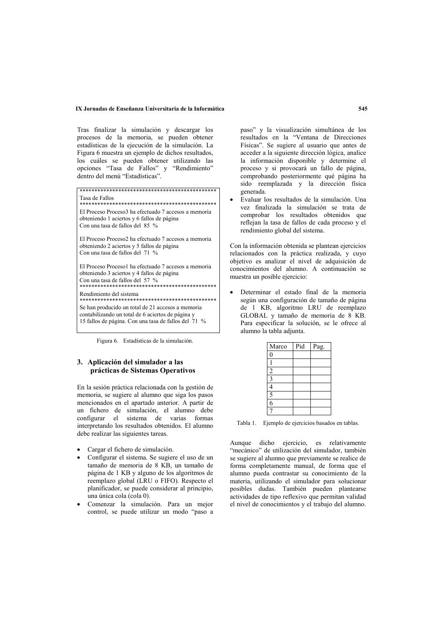### IX Jornadas de Enseñanza Universitaria de la Informática

Tras finalizar la simulación y descargar los procesos de la memoria, se pueden obtener estadísticas de la ejecución de la simulación. La Figura 6 muestra un ejemplo de dichos resultados, los cuáles se pueden obtener utilizando las opciones "Tasa de Fallos" y "Rendimiento" dentro del menú "Estadísticas".

Tasa de Fallos El Proceso Proceso3 ha efectuado 7 accesos a memoria obteniendo 1 aciertos y 6 fallos de página Con una tasa de fallos del 85 % El Proceso Proceso2 ha efectuado 7 accesos a memoria obteniendo 2 aciertos y 5 fallos de página Con una tasa de fallos del 71 % El Proceso Proceso1 ha efectuado 7 accesos a memoria obteniendo 3 aciertos y 4 fallos de página Con una tasa de fallos del 57 % 

Rendimiento del sistema 

Se han producido un total de 21 accesos a memoria

contabilizando un total de 6 aciertos de página y

15 fallos de página. Con una tasa de fallos del 71 %

Figura 6 Estadísticas de la simulación

# 3. Aplicación del simulador a las prácticas de Sistemas Operativos

En la sesión práctica relacionada con la gestión de memoria, se sugiere al alumno que siga los pasos mencionados en el apartado anterior. A partir de un fichero de simulación, el alumno debe configurar el sistema de varias formas interpretando los resultados obtenidos. El alumno debe realizar las siguientes tareas.

- Cargar el fichero de simulación.
- Configurar el sistema. Se sugiere el uso de un tamaño de memoria de 8 KB, un tamaño de página de 1 KB y alguno de los algoritmos de reemplazo global (LRU o FIFO). Respecto el planificador, se puede considerar al principio, una única cola (cola 0).
- Comenzar la simulación. Para un mejor control, se puede utilizar un modo "paso a

paso" y la visualización simultánea de los resultados en la "Ventana de Direcciones Físicas". Se sugiere al usuario que antes de acceder a la siguiente dirección lógica, analice la información disponible y determine el proceso y si provocará un fallo de página. comprobando posteriormente qué página ha sido reemplazada y la dirección física generada.

Evaluar los resultados de la simulación. Una vez finalizada la simulación se trata de comprobar los resultados obtenidos que reflejan la tasa de fallos de cada proceso y el rendimiento global del sistema.

Con la información obtenida se plantean ejercicios relacionados con la práctica realizada, y cuyo obietivo es analizar el nivel de adquisición de conocimientos del alumno. A continuación se muestra un posible ejercicio:

Determinar el estado final de la memoria según una configuración de tamaño de página de 1 KB, algoritmo LRU de reemplazo GLOBAL y tamaño de memoria de 8 KB. Para especificar la solución, se le ofrece al alumno la tabla adjunta.

| Marco          | Pid | Pag. |
|----------------|-----|------|
| $\Omega$       |     |      |
|                |     |      |
| $\overline{c}$ |     |      |
|                |     |      |
|                |     |      |
| 5              |     |      |
| $\overline{6}$ |     |      |
|                |     |      |

Tabla 1. Ejemplo de ejercicios basados en tablas.

Aunque dicho ejercicio, es relativamente "mecánico" de utilización del simulador, también se sugiere al alumno que previamente se realice de forma completamente manual, de forma que el alumno pueda contrastar su conocimiento de la materia, utilizando el simulador para solucionar posibles dudas. También pueden plantearse actividades de tipo reflexivo que permitan validad el nivel de conocimientos y el trabajo del alumno.